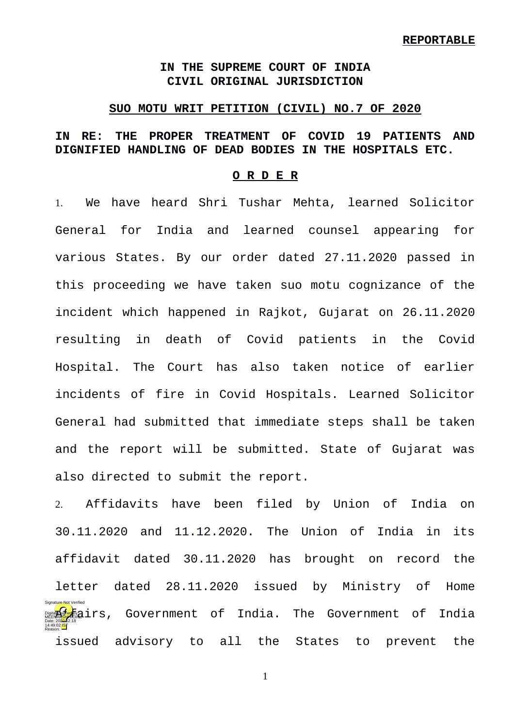### **IN THE SUPREME COURT OF INDIA CIVIL ORIGINAL JURISDICTION**

#### **SUO MOTU WRIT PETITION (CIVIL) NO.7 OF 2020**

# **IN RE: THE PROPER TREATMENT OF COVID 19 PATIENTS AND DIGNIFIED HANDLING OF DEAD BODIES IN THE HOSPITALS ETC.**

#### **O R D E R**

1. We have heard Shri Tushar Mehta, learned Solicitor General for India and learned counsel appearing for various States. By our order dated 27.11.2020 passed in this proceeding we have taken suo motu cognizance of the incident which happened in Rajkot, Gujarat on 26.11.2020 resulting in death of Covid patients in the Covid Hospital. The Court has also taken notice of earlier incidents of fire in Covid Hospitals. Learned Solicitor General had submitted that immediate steps shall be taken and the report will be submitted. State of Gujarat was also directed to submit the report.

2. Affidavits have been filed by Union of India on 30.11.2020 and 11.12.2020. The Union of India in its affidavit dated 30.11.2020 has brought on record the letter dated 28.11.2020 issued by Ministry of Home **<sub>Rig</sub>ht**airs, Government of India. The Government of India issued advisory to all the States to prevent the Date: 2020.12.18 14:49:02 IST Reason: Signature Not Verified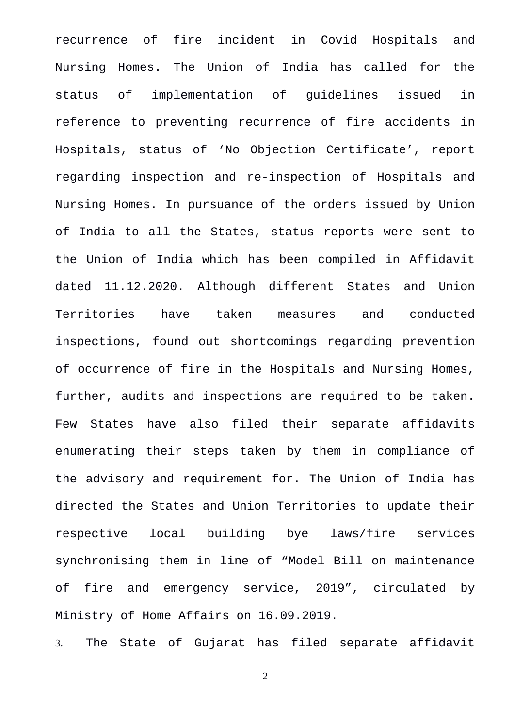recurrence of fire incident in Covid Hospitals and Nursing Homes. The Union of India has called for the status of implementation of guidelines issued in reference to preventing recurrence of fire accidents in Hospitals, status of 'No Objection Certificate', report regarding inspection and re-inspection of Hospitals and Nursing Homes. In pursuance of the orders issued by Union of India to all the States, status reports were sent to the Union of India which has been compiled in Affidavit dated 11.12.2020. Although different States and Union Territories have taken measures and conducted inspections, found out shortcomings regarding prevention of occurrence of fire in the Hospitals and Nursing Homes, further, audits and inspections are required to be taken. Few States have also filed their separate affidavits enumerating their steps taken by them in compliance of the advisory and requirement for. The Union of India has directed the States and Union Territories to update their respective local building bye laws/fire services synchronising them in line of "Model Bill on maintenance of fire and emergency service, 2019", circulated by Ministry of Home Affairs on 16.09.2019.

3. The State of Gujarat has filed separate affidavit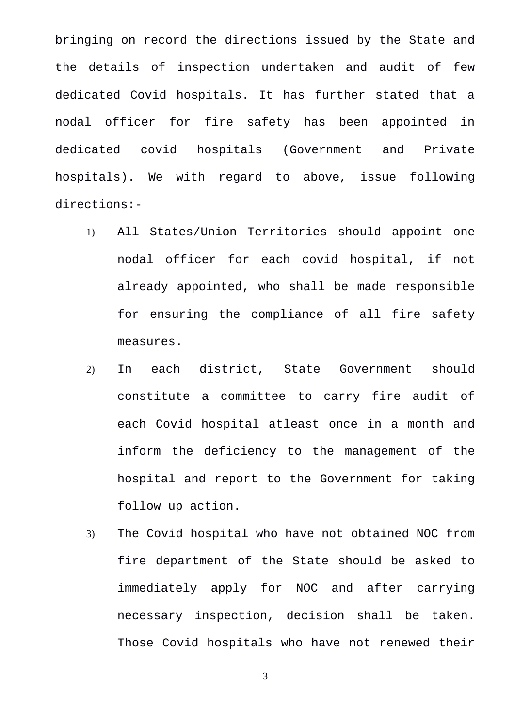bringing on record the directions issued by the State and the details of inspection undertaken and audit of few dedicated Covid hospitals. It has further stated that a nodal officer for fire safety has been appointed in dedicated covid hospitals (Government and Private hospitals). We with regard to above, issue following directions:-

- 1) All States/Union Territories should appoint one nodal officer for each covid hospital, if not already appointed, who shall be made responsible for ensuring the compliance of all fire safety measures.
- 2) In each district, State Government should constitute a committee to carry fire audit of each Covid hospital atleast once in a month and inform the deficiency to the management of the hospital and report to the Government for taking follow up action.
- 3) The Covid hospital who have not obtained NOC from fire department of the State should be asked to immediately apply for NOC and after carrying necessary inspection, decision shall be taken. Those Covid hospitals who have not renewed their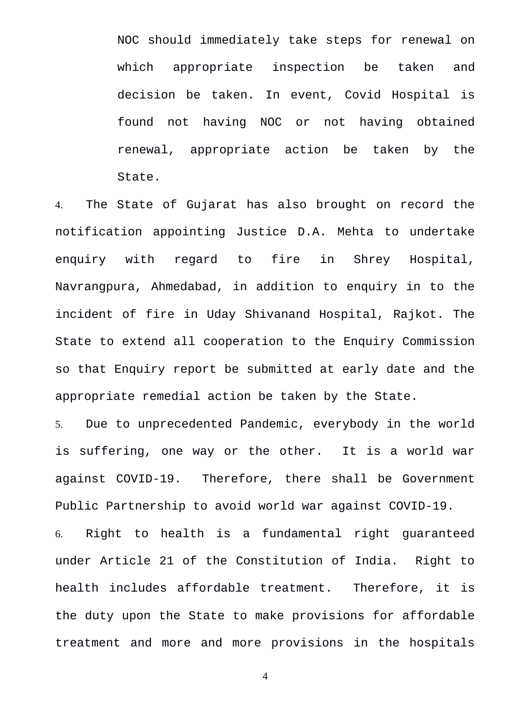NOC should immediately take steps for renewal on which appropriate inspection be taken and decision be taken. In event, Covid Hospital is found not having NOC or not having obtained renewal, appropriate action be taken by the State.

4. The State of Gujarat has also brought on record the notification appointing Justice D.A. Mehta to undertake enquiry with regard to fire in Shrey Hospital, Navrangpura, Ahmedabad, in addition to enquiry in to the incident of fire in Uday Shivanand Hospital, Rajkot. The State to extend all cooperation to the Enquiry Commission so that Enquiry report be submitted at early date and the appropriate remedial action be taken by the State.

5. Due to unprecedented Pandemic, everybody in the world is suffering, one way or the other. It is a world war against COVID-19. Therefore, there shall be Government Public Partnership to avoid world war against COVID-19.

6. Right to health is a fundamental right guaranteed under Article 21 of the Constitution of India. Right to health includes affordable treatment. Therefore, it is the duty upon the State to make provisions for affordable treatment and more and more provisions in the hospitals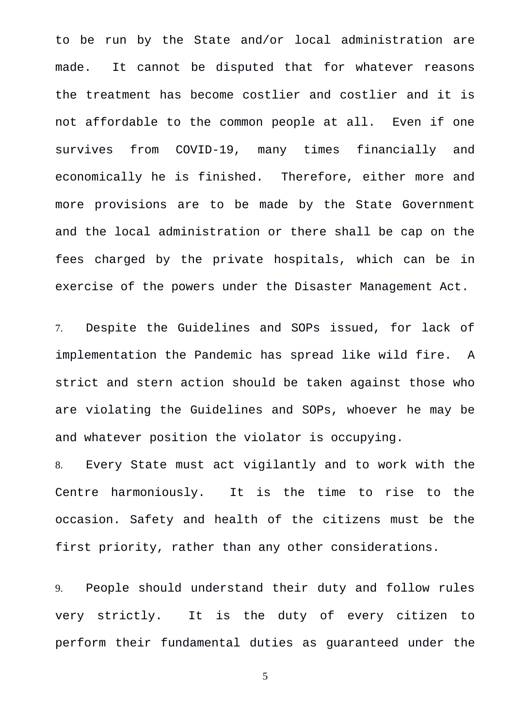to be run by the State and/or local administration are made. It cannot be disputed that for whatever reasons the treatment has become costlier and costlier and it is not affordable to the common people at all. Even if one survives from COVID-19, many times financially and economically he is finished. Therefore, either more and more provisions are to be made by the State Government and the local administration or there shall be cap on the fees charged by the private hospitals, which can be in exercise of the powers under the Disaster Management Act.

7. Despite the Guidelines and SOPs issued, for lack of implementation the Pandemic has spread like wild fire. A strict and stern action should be taken against those who are violating the Guidelines and SOPs, whoever he may be and whatever position the violator is occupying.

8. Every State must act vigilantly and to work with the Centre harmoniously. It is the time to rise to the occasion. Safety and health of the citizens must be the first priority, rather than any other considerations.

9. People should understand their duty and follow rules very strictly. It is the duty of every citizen to perform their fundamental duties as guaranteed under the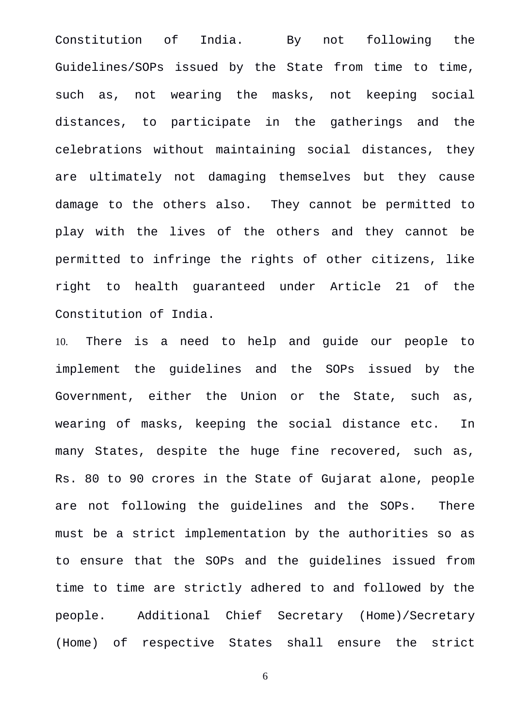Constitution of India. By not following the Guidelines/SOPs issued by the State from time to time, such as, not wearing the masks, not keeping social distances, to participate in the gatherings and the celebrations without maintaining social distances, they are ultimately not damaging themselves but they cause damage to the others also. They cannot be permitted to play with the lives of the others and they cannot be permitted to infringe the rights of other citizens, like right to health guaranteed under Article 21 of the Constitution of India.

10. There is a need to help and guide our people to implement the guidelines and the SOPs issued by the Government, either the Union or the State, such as, wearing of masks, keeping the social distance etc. In many States, despite the huge fine recovered, such as, Rs. 80 to 90 crores in the State of Gujarat alone, people are not following the guidelines and the SOPs. There must be a strict implementation by the authorities so as to ensure that the SOPs and the guidelines issued from time to time are strictly adhered to and followed by the people. Additional Chief Secretary (Home)/Secretary (Home) of respective States shall ensure the strict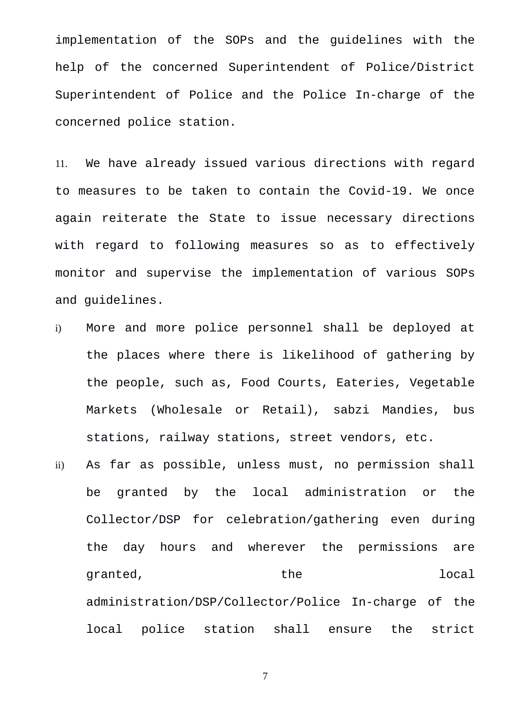implementation of the SOPs and the guidelines with the help of the concerned Superintendent of Police/District Superintendent of Police and the Police In-charge of the concerned police station.

11. We have already issued various directions with regard to measures to be taken to contain the Covid-19. We once again reiterate the State to issue necessary directions with regard to following measures so as to effectively monitor and supervise the implementation of various SOPs and guidelines.

- i) More and more police personnel shall be deployed at the places where there is likelihood of gathering by the people, such as, Food Courts, Eateries, Vegetable Markets (Wholesale or Retail), sabzi Mandies, bus stations, railway stations, street vendors, etc.
- ii) As far as possible, unless must, no permission shall be granted by the local administration or the Collector/DSP for celebration/gathering even during the day hours and wherever the permissions are granted, the local control of the local control of  $\alpha$ administration/DSP/Collector/Police In-charge of the local police station shall ensure the strict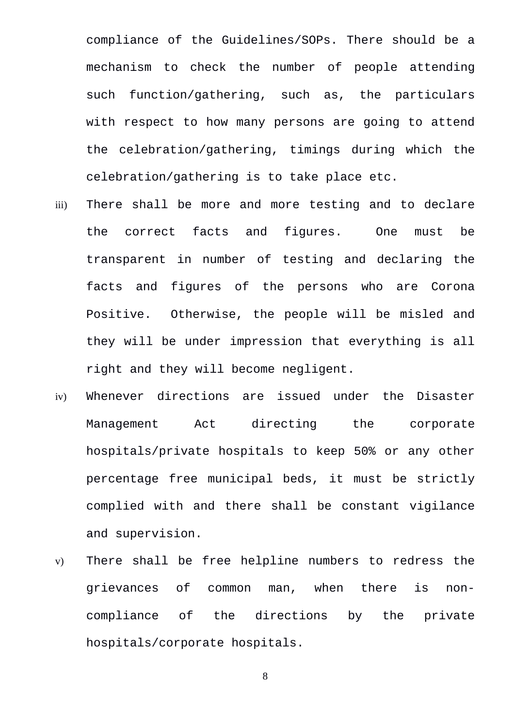compliance of the Guidelines/SOPs. There should be a mechanism to check the number of people attending such function/gathering, such as, the particulars with respect to how many persons are going to attend the celebration/gathering, timings during which the celebration/gathering is to take place etc.

- iii) There shall be more and more testing and to declare the correct facts and figures. One must be transparent in number of testing and declaring the facts and figures of the persons who are Corona Positive. Otherwise, the people will be misled and they will be under impression that everything is all right and they will become negligent.
- iv) Whenever directions are issued under the Disaster Management Act directing the corporate hospitals/private hospitals to keep 50% or any other percentage free municipal beds, it must be strictly complied with and there shall be constant vigilance and supervision.
- v) There shall be free helpline numbers to redress the grievances of common man, when there is noncompliance of the directions by the private hospitals/corporate hospitals.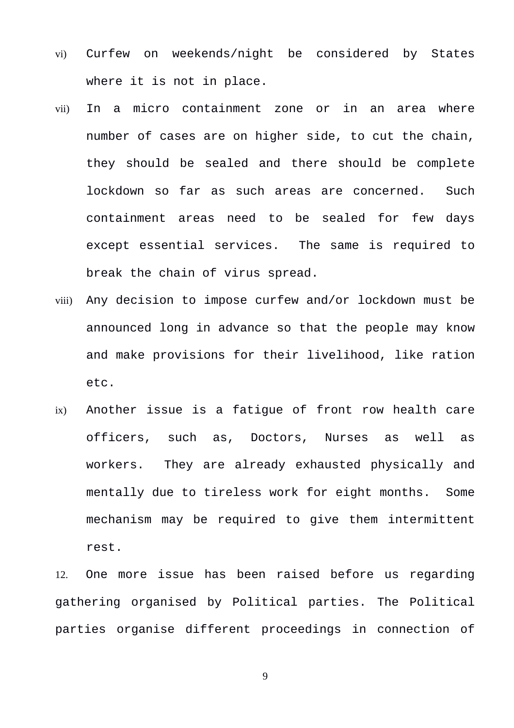- vi) Curfew on weekends/night be considered by States where it is not in place.
- vii) In a micro containment zone or in an area where number of cases are on higher side, to cut the chain, they should be sealed and there should be complete lockdown so far as such areas are concerned. Such containment areas need to be sealed for few days except essential services. The same is required to break the chain of virus spread.
- viii) Any decision to impose curfew and/or lockdown must be announced long in advance so that the people may know and make provisions for their livelihood, like ration etc.
- ix) Another issue is a fatigue of front row health care officers, such as, Doctors, Nurses as well as workers. They are already exhausted physically and mentally due to tireless work for eight months. Some mechanism may be required to give them intermittent rest.

12. One more issue has been raised before us regarding gathering organised by Political parties. The Political parties organise different proceedings in connection of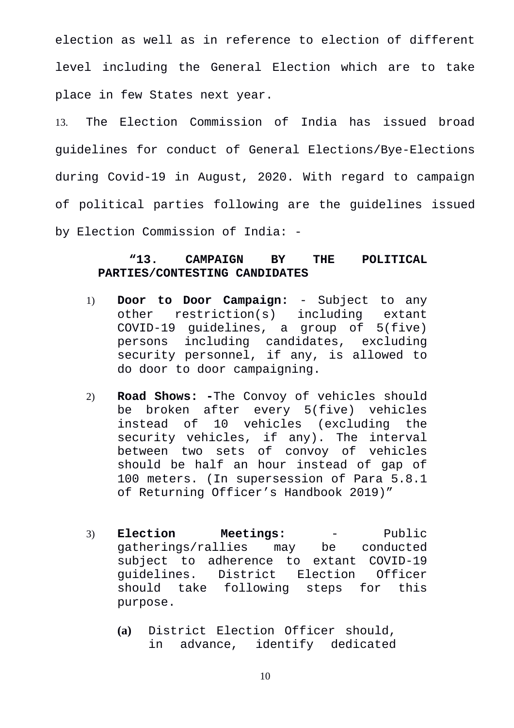election as well as in reference to election of different level including the General Election which are to take place in few States next year.

13. The Election Commission of India has issued broad guidelines for conduct of General Elections/Bye-Elections during Covid-19 in August, 2020. With regard to campaign of political parties following are the guidelines issued by Election Commission of India: -

# **"13. CAMPAIGN BY THE POLITICAL PARTIES/CONTESTING CANDIDATES**

- 1) **Door to Door Campaign:** Subject to any other restriction(s) including extant COVID-19 guidelines, a group of 5(five) persons including candidates, excluding security personnel, if any, is allowed to do door to door campaigning.
- 2) **Road Shows: -**The Convoy of vehicles should be broken after every 5(five) vehicles instead of 10 vehicles (excluding the security vehicles, if any). The interval between two sets of convoy of vehicles should be half an hour instead of gap of 100 meters. (In supersession of Para 5.8.1 of Returning Officer's Handbook 2019)"
- 3) **Election Meetings:** Public gatherings/rallies may be conducted subject to adherence to extant COVID-19<br>quidelines. District Election Officer quidelines. District Election should take following steps for this purpose.
	- **(a)** District Election Officer should, in advance, identify dedicated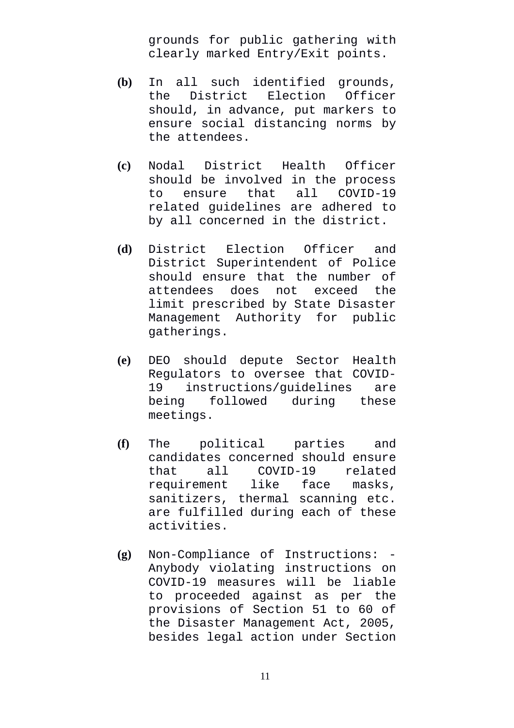grounds for public gathering with clearly marked Entry/Exit points.

- **(b)** In all such identified grounds, the District Election Officer should, in advance, put markers to ensure social distancing norms by the attendees.
- **(c)** Nodal District Health Officer should be involved in the process to ensure that all COVID-19 related guidelines are adhered to by all concerned in the district.
- **(d)** District Election Officer and District Superintendent of Police should ensure that the number of attendees does not exceed the limit prescribed by State Disaster Management Authority for public gatherings.
- **(e)** DEO should depute Sector Health Regulators to oversee that COVID-19 instructions/guidelines are being followed during these meetings.
- **(f)** The political parties and candidates concerned should ensure that all COVID-19 related requirement like face masks, sanitizers, thermal scanning etc. are fulfilled during each of these activities.
- **(g)** Non-Compliance of Instructions: Anybody violating instructions on COVID-19 measures will be liable to proceeded against as per the provisions of Section 51 to 60 of the Disaster Management Act, 2005, besides legal action under Section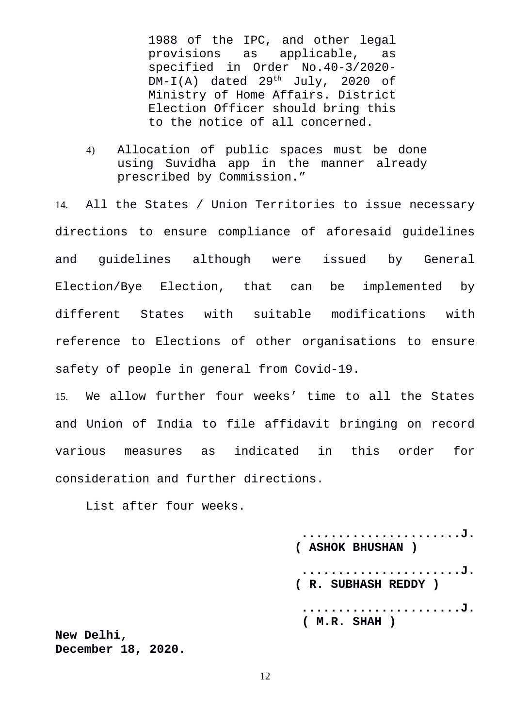1988 of the IPC, and other legal provisions as applicable, as specified in Order No.40-3/2020-  $DM-I(A)$  dated 29<sup>th</sup> July, 2020 of Ministry of Home Affairs. District Election Officer should bring this to the notice of all concerned.

4) Allocation of public spaces must be done using Suvidha app in the manner already prescribed by Commission."

14. All the States / Union Territories to issue necessary directions to ensure compliance of aforesaid guidelines and guidelines although were issued by General Election/Bye Election, that can be implemented by different States with suitable modifications with reference to Elections of other organisations to ensure safety of people in general from Covid-19.

15. We allow further four weeks' time to all the States and Union of India to file affidavit bringing on record various measures as indicated in this order for consideration and further directions.

List after four weeks.

**......................J. ( ASHOK BHUSHAN ) ......................J. ( R. SUBHASH REDDY ) ......................J. ( M.R. SHAH )**

**New Delhi, December 18, 2020.**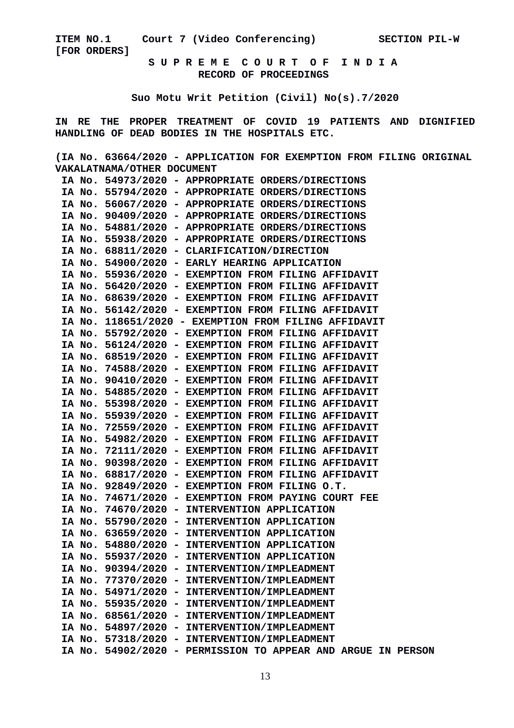**ITEM NO.1 Court 7 (Video Conferencing) SECTION PIL-W [FOR ORDERS] S U P R E M E C O U R T O F I N D I A**

 **RECORD OF PROCEEDINGS**

**Suo Motu Writ Petition (Civil) No(s).7/2020**

**IN RE THE PROPER TREATMENT OF COVID 19 PATIENTS AND DIGNIFIED HANDLING OF DEAD BODIES IN THE HOSPITALS ETC.**

**(IA No. 63664/2020 - APPLICATION FOR EXEMPTION FROM FILING ORIGINAL VAKALATNAMA/OTHER DOCUMENT**

|  | IA No. 54973/2020 - APPROPRIATE ORDERS/DIRECTIONS               |
|--|-----------------------------------------------------------------|
|  | IA No. 55794/2020 - APPROPRIATE ORDERS/DIRECTIONS               |
|  | IA No. 56067/2020 - APPROPRIATE ORDERS/DIRECTIONS               |
|  | IA No. 90409/2020 - APPROPRIATE ORDERS/DIRECTIONS               |
|  | IA No. 54881/2020 - APPROPRIATE ORDERS/DIRECTIONS               |
|  | IA No. 55938/2020 - APPROPRIATE ORDERS/DIRECTIONS               |
|  | IA No. 68811/2020 - CLARIFICATION/DIRECTION                     |
|  | IA No. 54900/2020 - EARLY HEARING APPLICATION                   |
|  | IA No. 55936/2020 - EXEMPTION FROM FILING AFFIDAVIT             |
|  | IA No. 56420/2020 - EXEMPTION FROM FILING AFFIDAVIT             |
|  | IA No. 68639/2020 - EXEMPTION FROM FILING AFFIDAVIT             |
|  | IA No. 56142/2020 - EXEMPTION FROM FILING AFFIDAVIT             |
|  | IA No. 118651/2020 - EXEMPTION FROM FILING AFFIDAVIT            |
|  | IA No. 55792/2020 - EXEMPTION FROM FILING AFFIDAVIT             |
|  | IA No. 56124/2020 - EXEMPTION FROM FILING AFFIDAVIT             |
|  | IA No. 68519/2020 - EXEMPTION FROM FILING AFFIDAVIT             |
|  | IA No. 74588/2020 - EXEMPTION FROM FILING AFFIDAVIT             |
|  | IA No. 90410/2020 - EXEMPTION FROM FILING AFFIDAVIT             |
|  | IA No. 54885/2020 - EXEMPTION FROM FILING AFFIDAVIT             |
|  | IA No. 55398/2020 - EXEMPTION FROM FILING AFFIDAVIT             |
|  | IA No. 55939/2020 - EXEMPTION FROM FILING AFFIDAVIT             |
|  | IA No. 72559/2020 - EXEMPTION FROM FILING AFFIDAVIT             |
|  | IA No. 54982/2020 - EXEMPTION FROM FILING AFFIDAVIT             |
|  | IA No. 72111/2020 - EXEMPTION FROM FILING AFFIDAVIT             |
|  | IA No. 90398/2020 - EXEMPTION FROM FILING AFFIDAVIT             |
|  | IA No. 68817/2020 - EXEMPTION FROM FILING AFFIDAVIT             |
|  | IA No. 92849/2020 - EXEMPTION FROM FILING O.T.                  |
|  | IA No. 74671/2020 - EXEMPTION FROM PAYING COURT FEE             |
|  | IA No. 74670/2020 - INTERVENTION APPLICATION                    |
|  | IA No. 55790/2020 - INTERVENTION APPLICATION                    |
|  | IA No. 63659/2020 - INTERVENTION APPLICATION                    |
|  | IA No. 54880/2020 - INTERVENTION APPLICATION                    |
|  | IA No. 55937/2020 - INTERVENTION APPLICATION                    |
|  | IA No. 90394/2020<br>INTERVENTION/IMPLEADMENT<br>$\blacksquare$ |
|  | <b>IA No. 77370/2020</b><br>INTERVENTION/IMPLEADMENT            |
|  | IA No. 54971/2020 -<br>INTERVENTION/IMPLEADMENT                 |
|  | IA No. 55935/2020 -<br>INTERVENTION/IMPLEADMENT                 |
|  | IA No. 68561/2020 -<br>INTERVENTION/IMPLEADMENT                 |
|  | IA No. 54897/2020 -<br>INTERVENTION/IMPLEADMENT                 |
|  | IA No. 57318/2020<br>INTERVENTION/IMPLEADMENT                   |
|  | IA No. 54902/2020<br>PERMISSION TO APPEAR AND ARGUE IN PERSON   |
|  |                                                                 |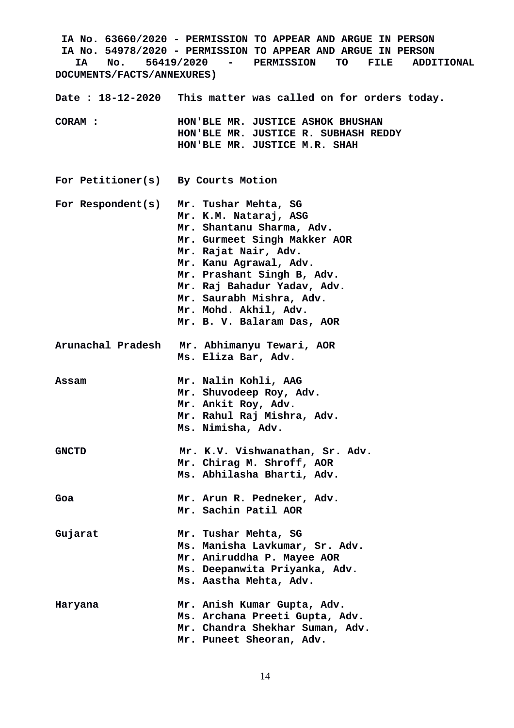**IA No. 63660/2020 - PERMISSION TO APPEAR AND ARGUE IN PERSON IA No. 54978/2020 - PERMISSION TO APPEAR AND ARGUE IN PERSON IA No. 56419/2020 - PERMISSION TO FILE ADDITIONAL DOCUMENTS/FACTS/ANNEXURES) Date : 18-12-2020 This matter was called on for orders today. CORAM : HON'BLE MR. JUSTICE ASHOK BHUSHAN HON'BLE MR. JUSTICE R. SUBHASH REDDY HON'BLE MR. JUSTICE M.R. SHAH For Petitioner(s) By Courts Motion For Respondent(s) Mr. Tushar Mehta, SG Mr. K.M. Nataraj, ASG Mr. Shantanu Sharma, Adv. Mr. Gurmeet Singh Makker AOR Mr. Rajat Nair, Adv. Mr. Kanu Agrawal, Adv. Mr. Prashant Singh B, Adv. Mr. Raj Bahadur Yadav, Adv. Mr. Saurabh Mishra, Adv. Mr. Mohd. Akhil, Adv. Mr. B. V. Balaram Das, AOR Arunachal Pradesh Mr. Abhimanyu Tewari, AOR Ms. Eliza Bar, Adv. Assam Mr. Nalin Kohli, AAG Mr. Shuvodeep Roy, Adv. Mr. Ankit Roy, Adv. Mr. Rahul Raj Mishra, Adv. Ms. Nimisha, Adv. GNCTD Mr. K.V. Vishwanathan, Sr. Adv. Mr. Chirag M. Shroff, AOR Ms. Abhilasha Bharti, Adv. Goa Mr. Arun R. Pedneker, Adv. Mr. Sachin Patil AOR Gujarat Mr. Tushar Mehta, SG Ms. Manisha Lavkumar, Sr. Adv. Mr. Aniruddha P. Mayee AOR Ms. Deepanwita Priyanka, Adv. Ms. Aastha Mehta, Adv. Haryana Mr. Anish Kumar Gupta, Adv. Ms. Archana Preeti Gupta, Adv. Mr. Chandra Shekhar Suman, Adv. Mr. Puneet Sheoran, Adv.**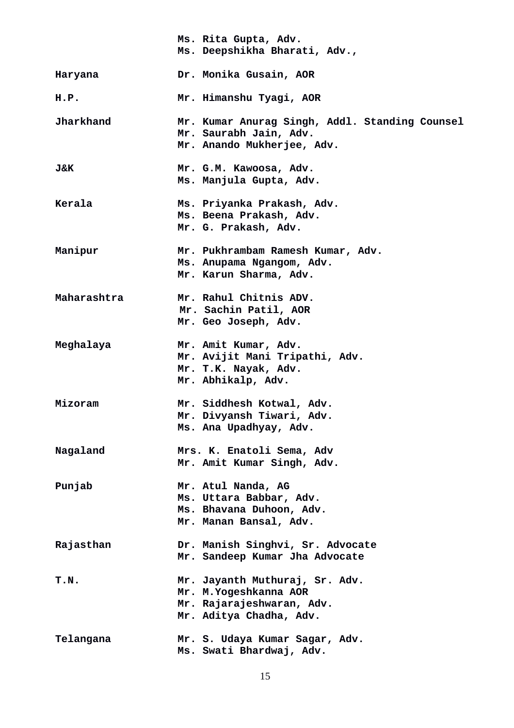|                  | Ms. Rita Gupta, Adv.<br>Ms. Deepshikha Bharati, Adv.,                                                            |
|------------------|------------------------------------------------------------------------------------------------------------------|
| Haryana          | Dr. Monika Gusain, AOR                                                                                           |
| H.P.             | Mr. Himanshu Tyagi, AOR                                                                                          |
| <b>Jharkhand</b> | Mr. Kumar Anurag Singh, Addl. Standing Counsel<br>Mr. Saurabh Jain, Adv.<br>Mr. Anando Mukherjee, Adv.           |
| J&K              | Mr. G.M. Kawoosa, Adv.<br>Ms. Manjula Gupta, Adv.                                                                |
| Kerala           | Ms. Priyanka Prakash, Adv.<br>Ms. Beena Prakash, Adv.<br>Mr. G. Prakash, Adv.                                    |
| Manipur          | Mr. Pukhrambam Ramesh Kumar, Adv.<br>Ms. Anupama Ngangom, Adv.<br>Mr. Karun Sharma, Adv.                         |
| Maharashtra      | Mr. Rahul Chitnis ADV.<br>Mr. Sachin Patil, AOR<br>Mr. Geo Joseph, Adv.                                          |
| Meghalaya        | Mr. Amit Kumar, Adv.<br>Mr. Avijit Mani Tripathi, Adv.<br>Mr. T.K. Nayak, Adv.<br>Mr. Abhikalp, Adv.             |
| Mizoram          | Mr. Siddhesh Kotwal, Adv.<br>Mr. Divyansh Tiwari, Adv.<br>Ms. Ana Upadhyay, Adv.                                 |
| Nagaland         | Mrs. K. Enatoli Sema, Adv<br>Mr. Amit Kumar Singh, Adv.                                                          |
| Punjab           | Mr. Atul Nanda, AG<br>Ms. Uttara Babbar, Adv.<br>Ms. Bhavana Duhoon, Adv.<br>Mr. Manan Bansal, Adv.              |
| Rajasthan        | Dr. Manish Singhvi, Sr. Advocate<br>Mr. Sandeep Kumar Jha Advocate                                               |
| T.N.             | Mr. Jayanth Muthuraj, Sr. Adv.<br>Mr. M. Yogeshkanna AOR<br>Mr. Rajarajeshwaran, Adv.<br>Mr. Aditya Chadha, Adv. |
| Telangana        | Mr. S. Udaya Kumar Sagar, Adv.<br>Ms. Swati Bhardwaj, Adv.                                                       |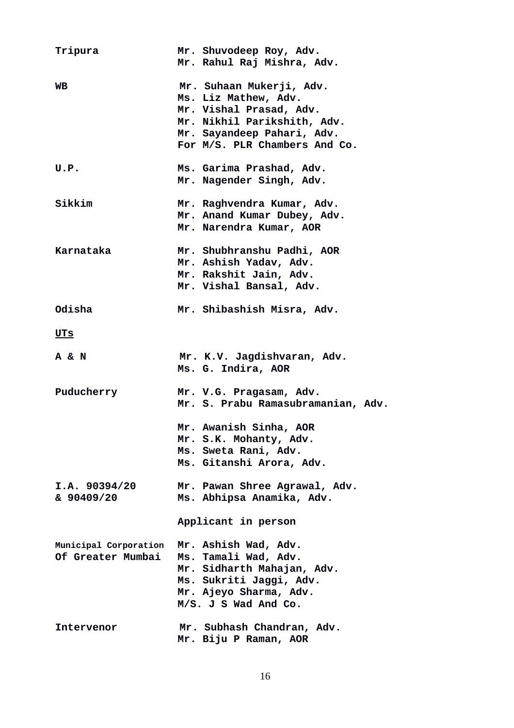| Tripura                                    | Mr. Shuvodeep Roy, Adv.<br>Mr. Rahul Raj Mishra, Adv.                                                                                                                     |
|--------------------------------------------|---------------------------------------------------------------------------------------------------------------------------------------------------------------------------|
| <b>WB</b>                                  | Mr. Suhaan Mukerji, Adv.<br>Ms. Liz Mathew, Adv.<br>Mr. Vishal Prasad, Adv.<br>Mr. Nikhil Parikshith, Adv.<br>Mr. Sayandeep Pahari, Adv.<br>For M/S. PLR Chambers And Co. |
| U.P.                                       | Ms. Garima Prashad, Adv.<br>Mr. Nagender Singh, Adv.                                                                                                                      |
| <b>Sikkim</b>                              | Mr. Raghvendra Kumar, Adv.<br>Mr. Anand Kumar Dubey, Adv.<br>Mr. Narendra Kumar, AOR                                                                                      |
| Karnataka                                  | Mr. Shubhranshu Padhi, AOR<br>Mr. Ashish Yadav, Adv.<br>Mr. Rakshit Jain, Adv.<br>Mr. Vishal Bansal, Adv.                                                                 |
| Odisha                                     | Mr. Shibashish Misra, Adv.                                                                                                                                                |
| <u>UTS</u>                                 |                                                                                                                                                                           |
| A & N                                      | Mr. K.V. Jagdishvaran, Adv.<br>Ms. G. Indira, AOR                                                                                                                         |
| Puducherry                                 | Mr. V.G. Pragasam, Adv.<br>Mr. S. Prabu Ramasubramanian, Adv.                                                                                                             |
|                                            | Mr. Awanish Sinha, AOR<br>Mr. S.K. Mohanty, Adv.<br>Ms. Sweta Rani, Adv.<br>Ms. Gitanshi Arora, Adv.                                                                      |
| I.A. 90394/20<br>& 90409/20                | Mr. Pawan Shree Agrawal, Adv.<br>Ms. Abhipsa Anamika, Adv.                                                                                                                |
|                                            | Applicant in person                                                                                                                                                       |
| Municipal Corporation<br>Of Greater Mumbai | Mr. Ashish Wad, Adv.<br>Ms. Tamali Wad, Adv.<br>Mr. Sidharth Mahajan, Adv.<br>Ms. Sukriti Jaggi, Adv.<br>Mr. Ajeyo Sharma, Adv.<br>M/S. J S Wad And Co.                   |
| <b>Intervenor</b>                          | Mr. Subhash Chandran, Adv.<br>Mr. Biju P Raman, AOR                                                                                                                       |